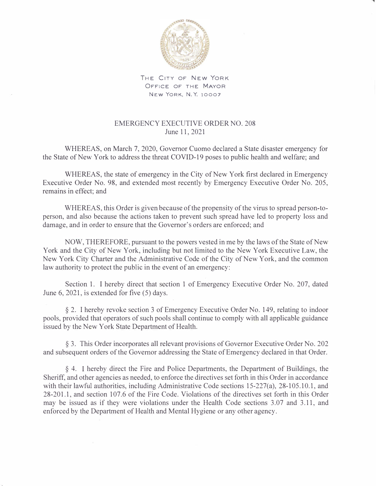

THE CITY OF NEW YORK OFFICE OF THE MAYOR NEW YORK, N.Y. 10007

## EMERGENCY EXECUTIVE ORDER NO. 208 June 11, 2021

WHEREAS, on March 7, 2020, Governor Cuomo declared a State disaster emergency for the State of New York to address the threat COVID-19 poses to public health and welfare; and

WHEREAS, the state of emergency in the City of New York first declared in Emergency Executive Order No. 98, and extended most recently by Emergency Executive Order No. 205, remains in effect; and

WHEREAS, this Order is given because of the propensity of the virus to spread person-toperson, and also because the actions taken to prevent such spread have led to property loss and damage, and in order to ensure that the Governor's orders are enforced; and

NOW, THEREFORE, pursuant to the powers vested in me by the laws of the State of New York and the City of New York, including but not limited to the New York Executive Law, the New York City Charter and the Administrative Code of the City of New York, and the common law authority to protect the public in the event of an emergency:

Section 1. I hereby direct that section 1 of Emergency Executive Order No. 207, dated June 6, 2021, is extended for five (5) days.

§ 2. I hereby revoke section 3 of Emergency Executive Order No. 149, relating to indoor pools, provided that operators of such pools shall continue to comply with all applicable guidance issued by the New York State Department of Health.

§ 3. This Order incorporates all relevant provisions of Governor Executive Order No. 202 and subsequent orders of the Governor addressing the State of Emergency declared in that Order.

§ 4. I hereby direct the Fire and Police Departments, the Department of Buildings, the Sheriff, and other agencies as needed, to enforce the directives set forth in this Order in accordance with their lawful authorities, including Administrative Code sections 15-227(a), 28-105.10.1, and 28-201.1, and section 107.6 of the Fire Code. Violations of the directives set forth in this Order may be issued as if they were violations under the Health Code sections 3.07 and 3.11, and enforced by the Department of Health and Mental Hygiene or any other agency.